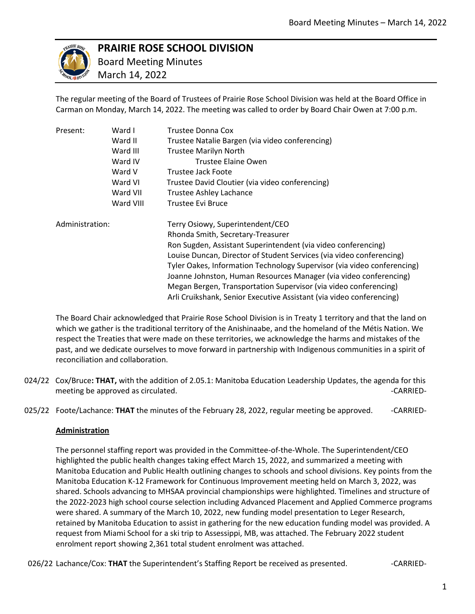

# **PRAIRIE ROSE SCHOOL DIVISION**

 Board Meeting Minutes March 14, 2022

The regular meeting of the Board of Trustees of Prairie Rose School Division was held at the Board Office in Carman on Monday, March 14, 2022. The meeting was called to order by Board Chair Owen at 7:00 p.m.

| Present:        | Ward I    | Trustee Donna Cox                                                       |
|-----------------|-----------|-------------------------------------------------------------------------|
|                 | Ward II   | Trustee Natalie Bargen (via video conferencing)                         |
|                 | Ward III  | <b>Trustee Marilyn North</b>                                            |
|                 | Ward IV   | Trustee Elaine Owen                                                     |
|                 | Ward V    | Trustee Jack Foote                                                      |
|                 | Ward VI   | Trustee David Cloutier (via video conferencing)                         |
|                 | Ward VII  | <b>Trustee Ashley Lachance</b>                                          |
|                 | Ward VIII | Trustee Evi Bruce                                                       |
| Administration: |           | Terry Osiowy, Superintendent/CEO                                        |
|                 |           | Rhonda Smith, Secretary-Treasurer                                       |
|                 |           | Ron Sugden, Assistant Superintendent (via video conferencing)           |
|                 |           | Louise Duncan, Director of Student Services (via video conferencing)    |
|                 |           | Tyler Oakes, Information Technology Supervisor (via video conferencing) |
|                 |           | Joanne Johnston, Human Resources Manager (via video conferencing)       |
|                 |           | Megan Bergen, Transportation Supervisor (via video conferencing)        |
|                 |           | Arli Cruikshank, Senior Executive Assistant (via video conferencing)    |

The Board Chair acknowledged that Prairie Rose School Division is in Treaty 1 territory and that the land on which we gather is the traditional territory of the Anishinaabe, and the homeland of the Métis Nation. We respect the Treaties that were made on these territories, we acknowledge the harms and mistakes of the past, and we dedicate ourselves to move forward in partnership with Indigenous communities in a spirit of reconciliation and collaboration.

- 024/22 Cox/Bruce**: THAT,** with the addition of 2.05.1: Manitoba Education Leadership Updates, the agenda for this meeting be approved as circulated.  $\blacksquare$
- 025/22 Foote/Lachance: **THAT** the minutes of the February 28, 2022, regular meeting be approved. -- CARRIED-

## **Administration**

The personnel staffing report was provided in the Committee-of-the-Whole. The Superintendent/CEO highlighted the public health changes taking effect March 15, 2022, and summarized a meeting with Manitoba Education and Public Health outlining changes to schools and school divisions. Key points from the Manitoba Education K-12 Framework for Continuous Improvement meeting held on March 3, 2022, was shared. Schools advancing to MHSAA provincial championships were highlighted. Timelines and structure of the 2022-2023 high school course selection including Advanced Placement and Applied Commerce programs were shared. A summary of the March 10, 2022, new funding model presentation to Leger Research, retained by Manitoba Education to assist in gathering for the new education funding model was provided. A request from Miami School for a ski trip to Assessippi, MB, was attached. The February 2022 student enrolment report showing 2,361 total student enrolment was attached.

026/22 Lachance/Cox: **THAT** the Superintendent's Staffing Report be received as presented.  $\blacksquare$ -CARRIED-